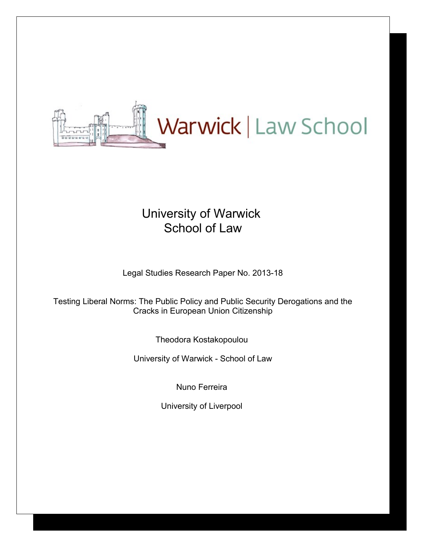

# University of Warwick School of Law

Legal Studies Research Paper No. 2013-18

Testing Liberal Norms: The Public Policy and Public Security Derogations and the Cracks in European Union Citizenship

Theodora Kostakopoulou

University of Warwick - School of Law

Nuno Ferreira

University of Liverpool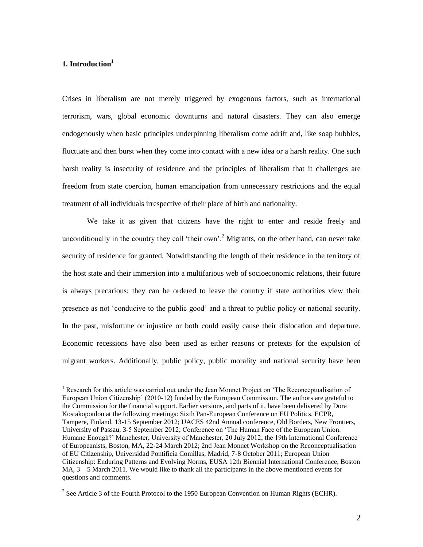## **1. Introduction<sup>1</sup>**

 $\overline{a}$ 

Crises in liberalism are not merely triggered by exogenous factors, such as international terrorism, wars, global economic downturns and natural disasters. They can also emerge endogenously when basic principles underpinning liberalism come adrift and, like soap bubbles, fluctuate and then burst when they come into contact with a new idea or a harsh reality. One such harsh reality is insecurity of residence and the principles of liberalism that it challenges are freedom from state coercion, human emancipation from unnecessary restrictions and the equal treatment of all individuals irrespective of their place of birth and nationality.

We take it as given that citizens have the right to enter and reside freely and unconditionally in the country they call 'their own'.<sup>2</sup> Migrants, on the other hand, can never take security of residence for granted. Notwithstanding the length of their residence in the territory of the host state and their immersion into a multifarious web of socioeconomic relations, their future is always precarious; they can be ordered to leave the country if state authorities view their presence as not 'conducive to the public good' and a threat to public policy or national security. In the past, misfortune or injustice or both could easily cause their dislocation and departure. Economic recessions have also been used as either reasons or pretexts for the expulsion of migrant workers. Additionally, public policy, public morality and national security have been

<sup>&</sup>lt;sup>1</sup> Research for this article was carried out under the Jean Monnet Project on 'The Reconceptualisation of European Union Citizenship' (2010-12) funded by the European Commission. The authors are grateful to the Commission for the financial support. Earlier versions, and parts of it, have been delivered by Dora Kostakopoulou at the following meetings: Sixth Pan-European Conference on EU Politics, ECPR, Tampere, Finland, 13-15 September 2012; UACES 42nd Annual conference, Old Borders, New Frontiers, University of Passau, 3-5 September 2012; Conference on 'The Human Face of the European Union: Humane Enough?' Manchester, University of Manchester, 20 July 2012; the 19th International Conference of Europeanists, Boston, MA, 22-24 March 2012; 2nd Jean Monnet Workshop on the Reconceptualisation of EU Citizenship, Universidad Pontificia Comillas, Madrid, 7-8 October 2011; European Union Citizenship: Enduring Patterns and Evolving Norms, EUSA 12th Biennial International Conference, Boston MA, 3 – 5 March 2011. We would like to thank all the participants in the above mentioned events for questions and comments.

<sup>&</sup>lt;sup>2</sup> See Article 3 of the Fourth Protocol to the 1950 European Convention on Human Rights (ECHR).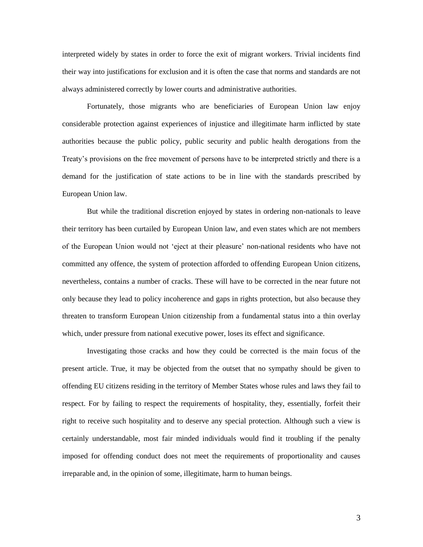interpreted widely by states in order to force the exit of migrant workers. Trivial incidents find their way into justifications for exclusion and it is often the case that norms and standards are not always administered correctly by lower courts and administrative authorities.

Fortunately, those migrants who are beneficiaries of European Union law enjoy considerable protection against experiences of injustice and illegitimate harm inflicted by state authorities because the public policy, public security and public health derogations from the Treaty's provisions on the free movement of persons have to be interpreted strictly and there is a demand for the justification of state actions to be in line with the standards prescribed by European Union law.

But while the traditional discretion enjoyed by states in ordering non-nationals to leave their territory has been curtailed by European Union law, and even states which are not members of the European Union would not 'eject at their pleasure' non-national residents who have not committed any offence, the system of protection afforded to offending European Union citizens, nevertheless, contains a number of cracks. These will have to be corrected in the near future not only because they lead to policy incoherence and gaps in rights protection, but also because they threaten to transform European Union citizenship from a fundamental status into a thin overlay which, under pressure from national executive power, loses its effect and significance.

Investigating those cracks and how they could be corrected is the main focus of the present article. True, it may be objected from the outset that no sympathy should be given to offending EU citizens residing in the territory of Member States whose rules and laws they fail to respect. For by failing to respect the requirements of hospitality, they, essentially, forfeit their right to receive such hospitality and to deserve any special protection. Although such a view is certainly understandable, most fair minded individuals would find it troubling if the penalty imposed for offending conduct does not meet the requirements of proportionality and causes irreparable and, in the opinion of some, illegitimate, harm to human beings.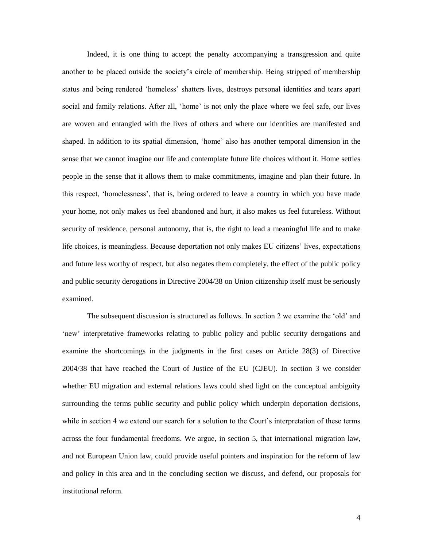Indeed, it is one thing to accept the penalty accompanying a transgression and quite another to be placed outside the society's circle of membership. Being stripped of membership status and being rendered 'homeless' shatters lives, destroys personal identities and tears apart social and family relations. After all, 'home' is not only the place where we feel safe, our lives are woven and entangled with the lives of others and where our identities are manifested and shaped. In addition to its spatial dimension, 'home' also has another temporal dimension in the sense that we cannot imagine our life and contemplate future life choices without it. Home settles people in the sense that it allows them to make commitments, imagine and plan their future. In this respect, 'homelessness', that is, being ordered to leave a country in which you have made your home, not only makes us feel abandoned and hurt, it also makes us feel futureless. Without security of residence, personal autonomy, that is, the right to lead a meaningful life and to make life choices, is meaningless. Because deportation not only makes EU citizens' lives, expectations and future less worthy of respect, but also negates them completely, the effect of the public policy and public security derogations in Directive 2004/38 on Union citizenship itself must be seriously examined.

The subsequent discussion is structured as follows. In section 2 we examine the 'old' and 'new' interpretative frameworks relating to public policy and public security derogations and examine the shortcomings in the judgments in the first cases on Article 28(3) of Directive 2004/38 that have reached the Court of Justice of the EU (CJEU). In section 3 we consider whether EU migration and external relations laws could shed light on the conceptual ambiguity surrounding the terms public security and public policy which underpin deportation decisions, while in section 4 we extend our search for a solution to the Court's interpretation of these terms across the four fundamental freedoms. We argue, in section 5, that international migration law, and not European Union law, could provide useful pointers and inspiration for the reform of law and policy in this area and in the concluding section we discuss, and defend, our proposals for institutional reform.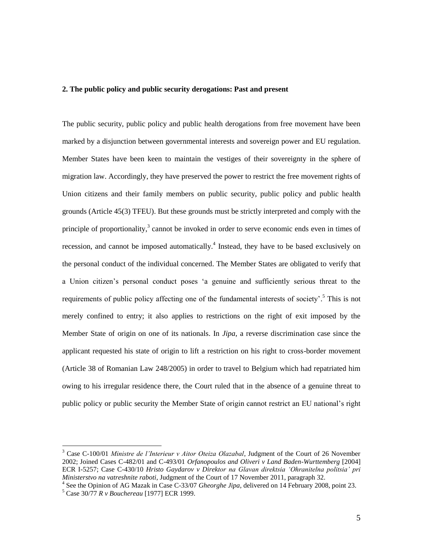#### **2. The public policy and public security derogations: Past and present**

The public security, public policy and public health derogations from free movement have been marked by a disjunction between governmental interests and sovereign power and EU regulation. Member States have been keen to maintain the vestiges of their sovereignty in the sphere of migration law. Accordingly, they have preserved the power to restrict the free movement rights of Union citizens and their family members on public security, public policy and public health grounds (Article 45(3) TFEU). But these grounds must be strictly interpreted and comply with the principle of proportionality,<sup>3</sup> cannot be invoked in order to serve economic ends even in times of recession, and cannot be imposed automatically.<sup>4</sup> Instead, they have to be based exclusively on the personal conduct of the individual concerned. The Member States are obligated to verify that a Union citizen's personal conduct poses 'a genuine and sufficiently serious threat to the requirements of public policy affecting one of the fundamental interests of society'. <sup>5</sup> This is not merely confined to entry; it also applies to restrictions on the right of exit imposed by the Member State of origin on one of its nationals. In *Jipa*, a reverse discrimination case since the applicant requested his state of origin to lift a restriction on his right to cross-border movement (Article 38 of Romanian Law 248/2005) in order to travel to Belgium which had repatriated him owing to his irregular residence there, the Court ruled that in the absence of a genuine threat to public policy or public security the Member State of origin cannot restrict an EU national's right

<sup>3</sup> Case C-100/01 *Ministre de l'Interieur v Aitor Oteiza Olazabal*, Judgment of the Court of 26 November 2002; Joined Cases C-482/01 and C-493/01 *Orfanopoulos and Oliveri v Land Baden-Wurttemberg* [2004] ECR I-5257; Case C-430/10 *Hristo Gaydarov v Direktor na Glavan direktsia 'Ohranitelna politsia' pri Ministerstvo na vatreshnite raboti*, Judgment of the Court of 17 November 2011, paragraph 32.

<sup>&</sup>lt;sup>4</sup> See the Opinion of AG Mazak in Case C-33/07 *Gheorghe Jipa*, delivered on 14 February 2008, point 23. <sup>5</sup> Case 30/77 *R v Bouchereau* [1977] ECR 1999.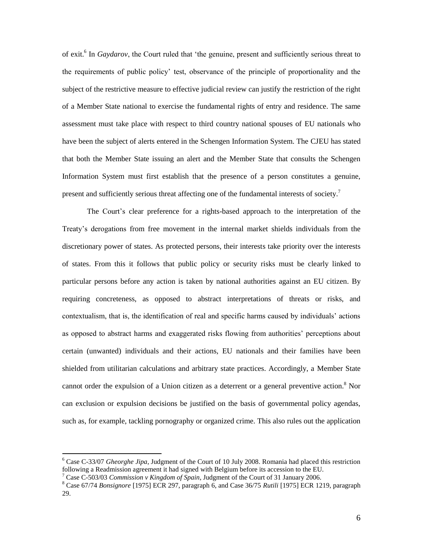of exit.<sup>6</sup> In *Gaydarov*, the Court ruled that 'the genuine, present and sufficiently serious threat to the requirements of public policy' test, observance of the principle of proportionality and the subject of the restrictive measure to effective judicial review can justify the restriction of the right of a Member State national to exercise the fundamental rights of entry and residence. The same assessment must take place with respect to third country national spouses of EU nationals who have been the subject of alerts entered in the Schengen Information System. The CJEU has stated that both the Member State issuing an alert and the Member State that consults the Schengen Information System must first establish that the presence of a person constitutes a genuine, present and sufficiently serious threat affecting one of the fundamental interests of society.<sup>7</sup>

The Court's clear preference for a rights-based approach to the interpretation of the Treaty's derogations from free movement in the internal market shields individuals from the discretionary power of states. As protected persons, their interests take priority over the interests of states. From this it follows that public policy or security risks must be clearly linked to particular persons before any action is taken by national authorities against an EU citizen. By requiring concreteness, as opposed to abstract interpretations of threats or risks, and contextualism, that is, the identification of real and specific harms caused by individuals' actions as opposed to abstract harms and exaggerated risks flowing from authorities' perceptions about certain (unwanted) individuals and their actions, EU nationals and their families have been shielded from utilitarian calculations and arbitrary state practices. Accordingly, a Member State cannot order the expulsion of a Union citizen as a deterrent or a general preventive action.<sup>8</sup> Nor can exclusion or expulsion decisions be justified on the basis of governmental policy agendas, such as, for example, tackling pornography or organized crime. This also rules out the application

<sup>6</sup> Case C-33/07 *Gheorghe Jipa*, Judgment of the Court of 10 July 2008. Romania had placed this restriction following a Readmission agreement it had signed with Belgium before its accession to the EU.

<sup>7</sup> Case C-503/03 *Commission v Kingdom of Spain*, Judgment of the Court of 31 January 2006.

<sup>8</sup> Case 67/74 *Bonsignore* [1975] ECR 297, paragraph 6, and Case 36/75 *Rutili* [1975] ECR 1219, paragraph 29.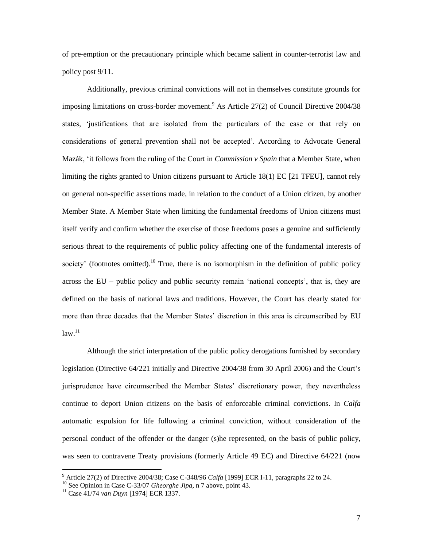of pre-emption or the precautionary principle which became salient in counter-terrorist law and policy post 9/11.

Additionally, previous criminal convictions will not in themselves constitute grounds for imposing limitations on cross-border movement.<sup>9</sup> As Article 27(2) of Council Directive 2004/38 states, 'justifications that are isolated from the particulars of the case or that rely on considerations of general prevention shall not be accepted'. According to Advocate General Mazák, 'it follows from the ruling of the Court in *Commission v Spain* that a Member State, when limiting the rights granted to Union citizens pursuant to Article 18(1) EC [21 TFEU], cannot rely on general non-specific assertions made, in relation to the conduct of a Union citizen, by another Member State. A Member State when limiting the fundamental freedoms of Union citizens must itself verify and confirm whether the exercise of those freedoms poses a genuine and sufficiently serious threat to the requirements of public policy affecting one of the fundamental interests of society' (footnotes omitted).<sup>10</sup> True, there is no isomorphism in the definition of public policy across the EU – public policy and public security remain 'national concepts', that is, they are defined on the basis of national laws and traditions. However, the Court has clearly stated for more than three decades that the Member States' discretion in this area is circumscribed by EU  $law.<sup>11</sup>$ 

Although the strict interpretation of the public policy derogations furnished by secondary legislation (Directive 64/221 initially and Directive 2004/38 from 30 April 2006) and the Court's jurisprudence have circumscribed the Member States' discretionary power, they nevertheless continue to deport Union citizens on the basis of enforceable criminal convictions. In *Calfa* automatic expulsion for life following a criminal conviction, without consideration of the personal conduct of the offender or the danger (s)he represented, on the basis of public policy, was seen to contravene Treaty provisions (formerly Article 49 EC) and Directive 64/221 (now

<sup>9</sup> Article 27(2) of Directive 2004/38; Case C-348/96 *Calfa* [1999] ECR I-11, paragraphs 22 to 24.

<sup>10</sup> See Opinion in Case C-33/07 *Gheorghe Jipa*, n 7 above, point 43.

<sup>11</sup> Case 41/74 *van Duyn* [1974] ECR 1337.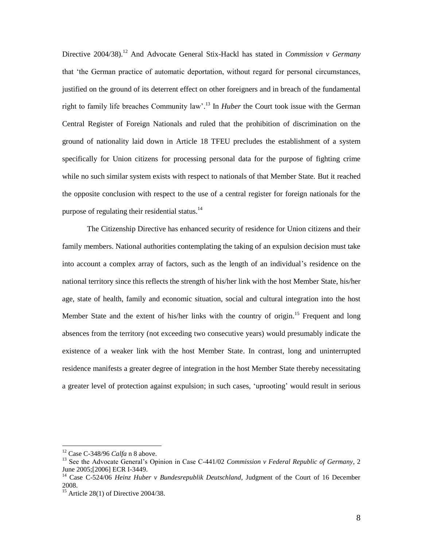Directive 2004/38).<sup>12</sup> And Advocate General Stix-Hackl has stated in *Commission v Germany* that 'the German practice of automatic deportation, without regard for personal circumstances, justified on the ground of its deterrent effect on other foreigners and in breach of the fundamental right to family life breaches Community law'. <sup>13</sup> In *Huber* the Court took issue with the German Central Register of Foreign Nationals and ruled that the prohibition of discrimination on the ground of nationality laid down in Article 18 TFEU precludes the establishment of a system specifically for Union citizens for processing personal data for the purpose of fighting crime while no such similar system exists with respect to nationals of that Member State. But it reached the opposite conclusion with respect to the use of a central register for foreign nationals for the purpose of regulating their residential status.<sup>14</sup>

The Citizenship Directive has enhanced security of residence for Union citizens and their family members. National authorities contemplating the taking of an expulsion decision must take into account a complex array of factors, such as the length of an individual's residence on the national territory since this reflects the strength of his/her link with the host Member State, his/her age, state of health, family and economic situation, social and cultural integration into the host Member State and the extent of his/her links with the country of origin.<sup>15</sup> Frequent and long absences from the territory (not exceeding two consecutive years) would presumably indicate the existence of a weaker link with the host Member State. In contrast, long and uninterrupted residence manifests a greater degree of integration in the host Member State thereby necessitating a greater level of protection against expulsion; in such cases, 'uprooting' would result in serious

<sup>12</sup> Case C-348/96 *Calfa* n 8 above.

<sup>&</sup>lt;sup>13</sup> See the Advocate General's Opinion in Case C-441/02 *Commission v Federal Republic of Germany*, 2 June 2005;[2006] ECR I-3449.

<sup>&</sup>lt;sup>14</sup> Case C-524/06 *Heinz Huber v Bundesrepublik Deutschland*, Judgment of the Court of 16 December 2008.

 $15$  Article 28(1) of Directive 2004/38.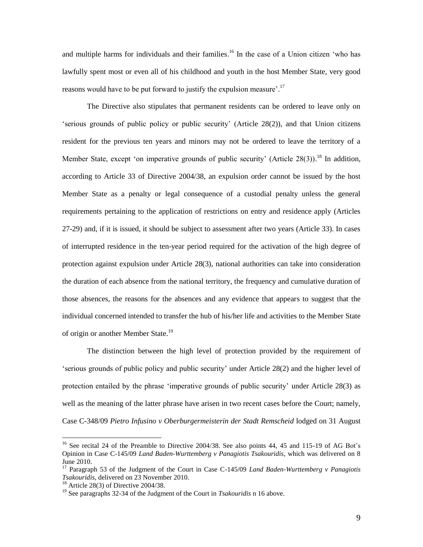and multiple harms for individuals and their families. <sup>16</sup> In the case of a Union citizen 'who has lawfully spent most or even all of his childhood and youth in the host Member State, very good reasons would have to be put forward to justify the expulsion measure'.<sup>17</sup>

The Directive also stipulates that permanent residents can be ordered to leave only on 'serious grounds of public policy or public security' (Article 28(2)), and that Union citizens resident for the previous ten years and minors may not be ordered to leave the territory of a Member State, except 'on imperative grounds of public security' (Article 28(3)).<sup>18</sup> In addition, according to Article 33 of Directive 2004/38, an expulsion order cannot be issued by the host Member State as a penalty or legal consequence of a custodial penalty unless the general requirements pertaining to the application of restrictions on entry and residence apply (Articles 27-29) and, if it is issued, it should be subject to assessment after two years (Article 33). In cases of interrupted residence in the ten-year period required for the activation of the high degree of protection against expulsion under Article 28(3), national authorities can take into consideration the duration of each absence from the national territory, the frequency and cumulative duration of those absences, the reasons for the absences and any evidence that appears to suggest that the individual concerned intended to transfer the hub of his/her life and activities to the Member State of origin or another Member State.<sup>19</sup>

The distinction between the high level of protection provided by the requirement of 'serious grounds of public policy and public security' under Article 28(2) and the higher level of protection entailed by the phrase 'imperative grounds of public security' under Article 28(3) as well as the meaning of the latter phrase have arisen in two recent cases before the Court; namely, Case C-348/09 *Pietro Infusino v Oberburgermeisterin der Stadt Remscheid* lodged on 31 August

<sup>&</sup>lt;sup>16</sup> See recital 24 of the Preamble to Directive 2004/38. See also points 44, 45 and 115-19 of AG Bot's Opinion in Case C-145/09 *Land Baden-Wurttemberg v Panagiotis Tsakouridis*, which was delivered on 8 June 2010.

<sup>17</sup> Paragraph 53 of the Judgment of the Court in Case C-145/09 *Land Baden-Wurttemberg v Panagiotis Tsakouridis*, delivered on 23 November 2010.

 $18$  Article 28(3) of Directive 2004/38.

<sup>19</sup> See paragraphs 32-34 of the Judgment of the Court in *Tsakouridis* n 16 above.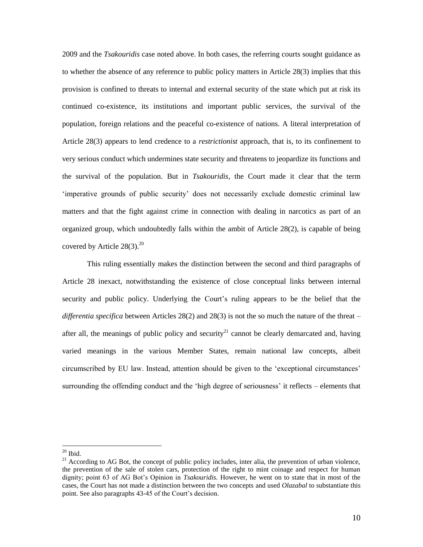2009 and the *Tsakouridis* case noted above. In both cases, the referring courts sought guidance as to whether the absence of any reference to public policy matters in Article 28(3) implies that this provision is confined to threats to internal and external security of the state which put at risk its continued co-existence, its institutions and important public services, the survival of the population, foreign relations and the peaceful co-existence of nations. A literal interpretation of Article 28(3) appears to lend credence to a *restrictionist* approach, that is, to its confinement to very serious conduct which undermines state security and threatens to jeopardize its functions and the survival of the population. But in *Tsakouridis*, the Court made it clear that the term 'imperative grounds of public security' does not necessarily exclude domestic criminal law matters and that the fight against crime in connection with dealing in narcotics as part of an organized group, which undoubtedly falls within the ambit of Article 28(2), is capable of being covered by Article  $28(3)$ .<sup>20</sup>

This ruling essentially makes the distinction between the second and third paragraphs of Article 28 inexact, notwithstanding the existence of close conceptual links between internal security and public policy. Underlying the Court's ruling appears to be the belief that the *differentia specifica* between Articles 28(2) and 28(3) is not the so much the nature of the threat – after all, the meanings of public policy and security<sup>21</sup> cannot be clearly demarcated and, having varied meanings in the various Member States, remain national law concepts, albeit circumscribed by EU law. Instead, attention should be given to the 'exceptional circumstances' surrounding the offending conduct and the 'high degree of seriousness' it reflects – elements that

 $20$  Ibid.

<sup>&</sup>lt;sup>21</sup> According to AG Bot, the concept of public policy includes, inter alia, the prevention of urban violence, the prevention of the sale of stolen cars, protection of the right to mint coinage and respect for human dignity; point 63 of AG Bot's Opinion in *Tsakouridis*. However, he went on to state that in most of the cases, the Court has not made a distinction between the two concepts and used *Olazabal* to substantiate this point. See also paragraphs 43-45 of the Court's decision.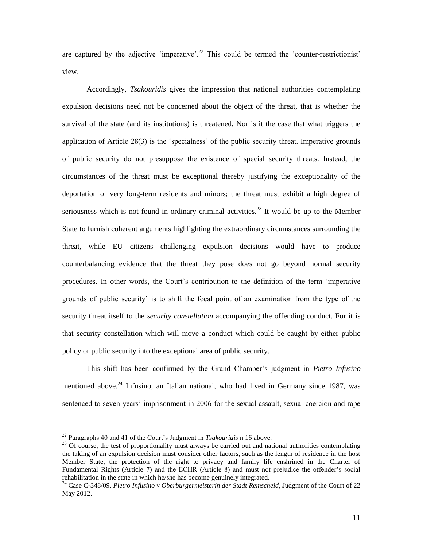are captured by the adjective 'imperative'.<sup>22</sup> This could be termed the 'counter-restrictionist' view.

Accordingly, *Tsakouridis* gives the impression that national authorities contemplating expulsion decisions need not be concerned about the object of the threat, that is whether the survival of the state (and its institutions) is threatened. Nor is it the case that what triggers the application of Article 28(3) is the 'specialness' of the public security threat. Imperative grounds of public security do not presuppose the existence of special security threats. Instead, the circumstances of the threat must be exceptional thereby justifying the exceptionality of the deportation of very long-term residents and minors; the threat must exhibit a high degree of seriousness which is not found in ordinary criminal activities.<sup>23</sup> It would be up to the Member State to furnish coherent arguments highlighting the extraordinary circumstances surrounding the threat, while EU citizens challenging expulsion decisions would have to produce counterbalancing evidence that the threat they pose does not go beyond normal security procedures. In other words, the Court's contribution to the definition of the term 'imperative grounds of public security' is to shift the focal point of an examination from the type of the security threat itself to the *security constellation* accompanying the offending conduct. For it is that security constellation which will move a conduct which could be caught by either public policy or public security into the exceptional area of public security.

This shift has been confirmed by the Grand Chamber's judgment in *Pietro Infusino* mentioned above.<sup>24</sup> Infusino, an Italian national, who had lived in Germany since 1987, was sentenced to seven years' imprisonment in 2006 for the sexual assault, sexual coercion and rape

<sup>22</sup> Paragraphs 40 and 41 of the Court's Judgment in *Tsakouridis* n 16 above.

<sup>&</sup>lt;sup>23</sup> Of course, the test of proportionality must always be carried out and national authorities contemplating the taking of an expulsion decision must consider other factors, such as the length of residence in the host Member State, the protection of the right to privacy and family life enshrined in the Charter of Fundamental Rights (Article 7) and the ECHR (Article 8) and must not prejudice the offender's social rehabilitation in the state in which he/she has become genuinely integrated.

<sup>24</sup> Case C-348/09, *Pietro Infusino v Oberburgermeisterin der Stadt Remscheid*, Judgment of the Court of 22 May 2012.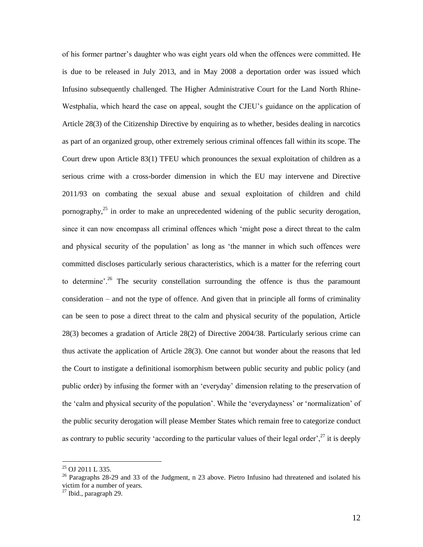of his former partner's daughter who was eight years old when the offences were committed. He is due to be released in July 2013, and in May 2008 a deportation order was issued which Infusino subsequently challenged. The Higher Administrative Court for the Land North Rhine-Westphalia, which heard the case on appeal, sought the CJEU's guidance on the application of Article 28(3) of the Citizenship Directive by enquiring as to whether, besides dealing in narcotics as part of an organized group, other extremely serious criminal offences fall within its scope. The Court drew upon Article 83(1) TFEU which pronounces the sexual exploitation of children as a serious crime with a cross-border dimension in which the EU may intervene and Directive 2011/93 on combating the sexual abuse and sexual exploitation of children and child pornography, $^{25}$  in order to make an unprecedented widening of the public security derogation, since it can now encompass all criminal offences which 'might pose a direct threat to the calm and physical security of the population' as long as 'the manner in which such offences were committed discloses particularly serious characteristics, which is a matter for the referring court to determine'.<sup>26</sup> The security constellation surrounding the offence is thus the paramount consideration – and not the type of offence. And given that in principle all forms of criminality can be seen to pose a direct threat to the calm and physical security of the population, Article 28(3) becomes a gradation of Article 28(2) of Directive 2004/38. Particularly serious crime can thus activate the application of Article 28(3). One cannot but wonder about the reasons that led the Court to instigate a definitional isomorphism between public security and public policy (and public order) by infusing the former with an 'everyday' dimension relating to the preservation of the 'calm and physical security of the population'. While the 'everydayness' or 'normalization' of the public security derogation will please Member States which remain free to categorize conduct as contrary to public security 'according to the particular values of their legal order',  $27$  it is deeply

 $25$  OJ 2011 L 335.

<sup>&</sup>lt;sup>26</sup> Paragraphs 28-29 and 33 of the Judgment, n 23 above. Pietro Infusino had threatened and isolated his victim for a number of years.

 $27$  Ibid., paragraph 29.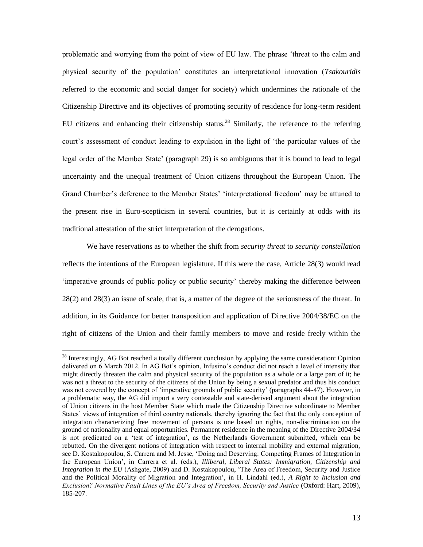problematic and worrying from the point of view of EU law. The phrase 'threat to the calm and physical security of the population' constitutes an interpretational innovation (*Tsakouridis* referred to the economic and social danger for society) which undermines the rationale of the Citizenship Directive and its objectives of promoting security of residence for long-term resident EU citizens and enhancing their citizenship status.<sup>28</sup> Similarly, the reference to the referring court's assessment of conduct leading to expulsion in the light of 'the particular values of the legal order of the Member State' (paragraph 29) is so ambiguous that it is bound to lead to legal uncertainty and the unequal treatment of Union citizens throughout the European Union. The Grand Chamber's deference to the Member States' 'interpretational freedom' may be attuned to the present rise in Euro-scepticism in several countries, but it is certainly at odds with its traditional attestation of the strict interpretation of the derogations.

We have reservations as to whether the shift from *security threat* to *security constellation* reflects the intentions of the European legislature. If this were the case, Article 28(3) would read 'imperative grounds of public policy or public security' thereby making the difference between 28(2) and 28(3) an issue of scale, that is, a matter of the degree of the seriousness of the threat. In addition, in its Guidance for better transposition and application of Directive 2004/38/EC on the right of citizens of the Union and their family members to move and reside freely within the

 $2<sup>28</sup>$  Interestingly, AG Bot reached a totally different conclusion by applying the same consideration: Opinion delivered on 6 March 2012. In AG Bot's opinion, Infusino's conduct did not reach a level of intensity that might directly threaten the calm and physical security of the population as a whole or a large part of it; he was not a threat to the security of the citizens of the Union by being a sexual predator and thus his conduct was not covered by the concept of 'imperative grounds of public security' (paragraphs 44-47). However, in a problematic way, the AG did import a very contestable and state-derived argument about the integration of Union citizens in the host Member State which made the Citizenship Directive subordinate to Member States' views of integration of third country nationals, thereby ignoring the fact that the only conception of integration characterizing free movement of persons is one based on rights, non-discrimination on the ground of nationality and equal opportunities. Permanent residence in the meaning of the Directive 2004/34 is not predicated on a 'test of integration', as the Netherlands Government submitted, which can be rebutted. On the divergent notions of integration with respect to internal mobility and external migration, see D. Kostakopoulou, S. Carrera and M. Jesse, 'Doing and Deserving: Competing Frames of Integration in the European Union', in Carrera et al. (eds.), *Illiberal, Liberal States: Immigration, Citizenship and Integration in the EU* (Ashgate, 2009) and D. Kostakopoulou, 'The Area of Freedom, Security and Justice and the Political Morality of Migration and Integration', in H. Lindahl (ed.), *A Right to Inclusion and Exclusion? Normative Fault Lines of the EU's Area of Freedom, Security and Justice* (Oxford: Hart, 2009), 185-207.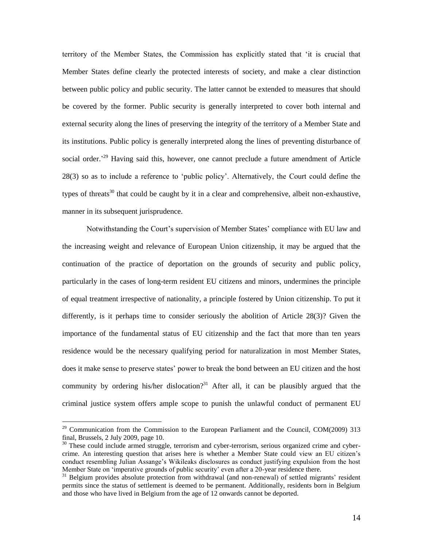territory of the Member States, the Commission has explicitly stated that 'it is crucial that Member States define clearly the protected interests of society, and make a clear distinction between public policy and public security. The latter cannot be extended to measures that should be covered by the former. Public security is generally interpreted to cover both internal and external security along the lines of preserving the integrity of the territory of a Member State and its institutions. Public policy is generally interpreted along the lines of preventing disturbance of social order.<sup>29</sup> Having said this, however, one cannot preclude a future amendment of Article 28(3) so as to include a reference to 'public policy'. Alternatively, the Court could define the types of threats<sup>30</sup> that could be caught by it in a clear and comprehensive, albeit non-exhaustive, manner in its subsequent jurisprudence.

Notwithstanding the Court's supervision of Member States' compliance with EU law and the increasing weight and relevance of European Union citizenship, it may be argued that the continuation of the practice of deportation on the grounds of security and public policy, particularly in the cases of long-term resident EU citizens and minors, undermines the principle of equal treatment irrespective of nationality, a principle fostered by Union citizenship. To put it differently, is it perhaps time to consider seriously the abolition of Article 28(3)? Given the importance of the fundamental status of EU citizenship and the fact that more than ten years residence would be the necessary qualifying period for naturalization in most Member States, does it make sense to preserve states' power to break the bond between an EU citizen and the host community by ordering his/her dislocation?<sup>31</sup> After all, it can be plausibly argued that the criminal justice system offers ample scope to punish the unlawful conduct of permanent EU

 $29$  Communication from the Commission to the European Parliament and the Council, COM(2009) 313 final, Brussels, 2 July 2009, page 10.

 $30$  These could include armed struggle, terrorism and cyber-terrorism, serious organized crime and cybercrime. An interesting question that arises here is whether a Member State could view an EU citizen's conduct resembling Julian Assange's Wikileaks disclosures as conduct justifying expulsion from the host Member State on 'imperative grounds of public security' even after a 20-year residence there.

<sup>&</sup>lt;sup>31</sup> Belgium provides absolute protection from withdrawal (and non-renewal) of settled migrants' resident permits since the status of settlement is deemed to be permanent. Additionally, residents born in Belgium and those who have lived in Belgium from the age of 12 onwards cannot be deported.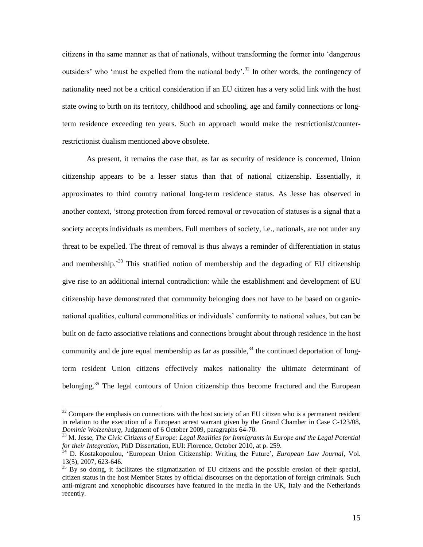citizens in the same manner as that of nationals, without transforming the former into 'dangerous outsiders' who 'must be expelled from the national body'.<sup>32</sup> In other words, the contingency of nationality need not be a critical consideration if an EU citizen has a very solid link with the host state owing to birth on its territory, childhood and schooling, age and family connections or longterm residence exceeding ten years. Such an approach would make the restrictionist/counterrestrictionist dualism mentioned above obsolete.

As present, it remains the case that, as far as security of residence is concerned, Union citizenship appears to be a lesser status than that of national citizenship. Essentially, it approximates to third country national long-term residence status. As Jesse has observed in another context, 'strong protection from forced removal or revocation of statuses is a signal that a society accepts individuals as members. Full members of society, i.e., nationals, are not under any threat to be expelled. The threat of removal is thus always a reminder of differentiation in status and membership.<sup>33</sup> This stratified notion of membership and the degrading of EU citizenship give rise to an additional internal contradiction: while the establishment and development of EU citizenship have demonstrated that community belonging does not have to be based on organicnational qualities, cultural commonalities or individuals' conformity to national values, but can be built on de facto associative relations and connections brought about through residence in the host community and de jure equal membership as far as possible,  $34$  the continued deportation of longterm resident Union citizens effectively makes nationality the ultimate determinant of belonging.<sup>35</sup> The legal contours of Union citizenship thus become fractured and the European

 $32$  Compare the emphasis on connections with the host society of an EU citizen who is a permanent resident in relation to the execution of a European arrest warrant given by the Grand Chamber in Case C-123/08, *Dominic Wolzenburg*, Judgment of 6 October 2009, paragraphs 64-70.

<sup>33</sup> M. Jesse, *The Civic Citizens of Europe: Legal Realities for Immigrants in Europe and the Legal Potential for their Integration*, PhD Dissertation, EUI: Florence, October 2010, at p. 259.

<sup>34</sup> D. Kostakopoulou, 'European Union Citizenship: Writing the Future', *European Law Journal*, Vol. 13(5), 2007, 623-646.

 $35$  By so doing, it facilitates the stigmatization of EU citizens and the possible erosion of their special, citizen status in the host Member States by official discourses on the deportation of foreign criminals. Such anti-migrant and xenophobic discourses have featured in the media in the UK, Italy and the Netherlands recently.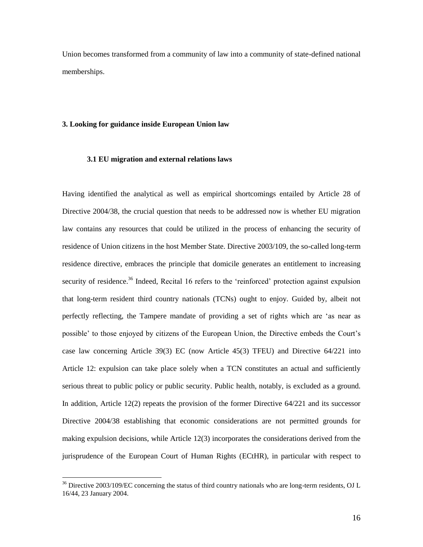Union becomes transformed from a community of law into a community of state-defined national memberships.

#### **3. Looking for guidance inside European Union law**

#### **3.1 EU migration and external relations laws**

Having identified the analytical as well as empirical shortcomings entailed by Article 28 of Directive 2004/38, the crucial question that needs to be addressed now is whether EU migration law contains any resources that could be utilized in the process of enhancing the security of residence of Union citizens in the host Member State. Directive 2003/109, the so-called long-term residence directive, embraces the principle that domicile generates an entitlement to increasing security of residence.<sup>36</sup> Indeed, Recital 16 refers to the 'reinforced' protection against expulsion that long-term resident third country nationals (TCNs) ought to enjoy. Guided by, albeit not perfectly reflecting, the Tampere mandate of providing a set of rights which are 'as near as possible' to those enjoyed by citizens of the European Union, the Directive embeds the Court's case law concerning Article 39(3) EC (now Article 45(3) TFEU) and Directive 64/221 into Article 12: expulsion can take place solely when a TCN constitutes an actual and sufficiently serious threat to public policy or public security. Public health, notably, is excluded as a ground. In addition, Article 12(2) repeats the provision of the former Directive 64/221 and its successor Directive 2004/38 establishing that economic considerations are not permitted grounds for making expulsion decisions, while Article 12(3) incorporates the considerations derived from the jurisprudence of the European Court of Human Rights (ECtHR), in particular with respect to

<sup>&</sup>lt;sup>36</sup> Directive 2003/109/EC concerning the status of third country nationals who are long-term residents, OJ L 16/44, 23 January 2004.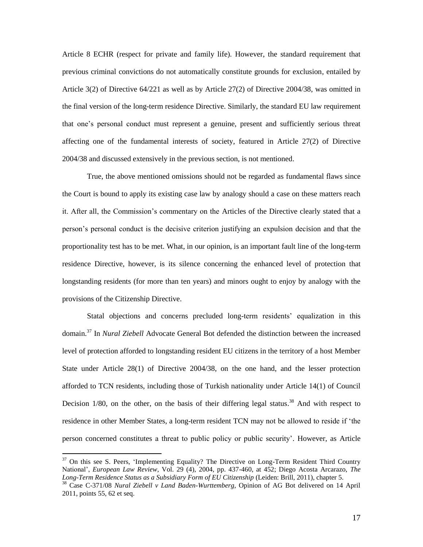Article 8 ECHR (respect for private and family life). However, the standard requirement that previous criminal convictions do not automatically constitute grounds for exclusion, entailed by Article 3(2) of Directive 64/221 as well as by Article 27(2) of Directive 2004/38, was omitted in the final version of the long-term residence Directive. Similarly, the standard EU law requirement that one's personal conduct must represent a genuine, present and sufficiently serious threat affecting one of the fundamental interests of society, featured in Article 27(2) of Directive 2004/38 and discussed extensively in the previous section, is not mentioned.

True, the above mentioned omissions should not be regarded as fundamental flaws since the Court is bound to apply its existing case law by analogy should a case on these matters reach it. After all, the Commission's commentary on the Articles of the Directive clearly stated that a person's personal conduct is the decisive criterion justifying an expulsion decision and that the proportionality test has to be met. What, in our opinion, is an important fault line of the long-term residence Directive, however, is its silence concerning the enhanced level of protection that longstanding residents (for more than ten years) and minors ought to enjoy by analogy with the provisions of the Citizenship Directive.

Statal objections and concerns precluded long-term residents' equalization in this domain. <sup>37</sup> In *Nural Ziebell* Advocate General Bot defended the distinction between the increased level of protection afforded to longstanding resident EU citizens in the territory of a host Member State under Article 28(1) of Directive 2004/38, on the one hand, and the lesser protection afforded to TCN residents, including those of Turkish nationality under Article 14(1) of Council Decision 1/80, on the other, on the basis of their differing legal status.<sup>38</sup> And with respect to residence in other Member States, a long-term resident TCN may not be allowed to reside if 'the person concerned constitutes a threat to public policy or public security'. However, as Article

<sup>&</sup>lt;sup>37</sup> On this see S. Peers, 'Implementing Equality? The Directive on Long-Term Resident Third Country National', *European Law Review*, Vol. 29 (4), 2004, pp. 437-460, at 452; Diego Acosta Arcarazo, *The Long-Term Residence Status as a Subsidiary Form of EU Citizenship* (Leiden: Brill, 2011), chapter 5.

<sup>38</sup> Case C-371/08 *Nural Ziebell v Land Baden-Wurttemberg*, Opinion of AG Bot delivered on 14 April 2011, points 55, 62 et seq.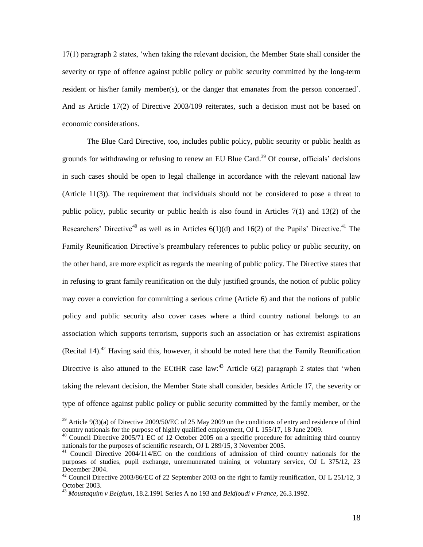17(1) paragraph 2 states, 'when taking the relevant decision, the Member State shall consider the severity or type of offence against public policy or public security committed by the long-term resident or his/her family member(s), or the danger that emanates from the person concerned'. And as Article 17(2) of Directive 2003/109 reiterates, such a decision must not be based on economic considerations.

The Blue Card Directive, too, includes public policy, public security or public health as grounds for withdrawing or refusing to renew an EU Blue Card.<sup>39</sup> Of course, officials' decisions in such cases should be open to legal challenge in accordance with the relevant national law (Article 11(3)). The requirement that individuals should not be considered to pose a threat to public policy, public security or public health is also found in Articles 7(1) and 13(2) of the Researchers' Directive<sup>40</sup> as well as in Articles  $6(1)(d)$  and  $16(2)$  of the Pupils' Directive.<sup>41</sup> The Family Reunification Directive's preambulary references to public policy or public security, on the other hand, are more explicit as regards the meaning of public policy. The Directive states that in refusing to grant family reunification on the duly justified grounds, the notion of public policy may cover a conviction for committing a serious crime (Article 6) and that the notions of public policy and public security also cover cases where a third country national belongs to an association which supports terrorism, supports such an association or has extremist aspirations (Recital 14).<sup>42</sup> Having said this, however, it should be noted here that the Family Reunification Directive is also attuned to the ECtHR case law:<sup>43</sup> Article  $6(2)$  paragraph 2 states that 'when taking the relevant decision, the Member State shall consider, besides Article 17, the severity or type of offence against public policy or public security committed by the family member, or the

 $39$  Article 9(3)(a) of Directive 2009/50/EC of 25 May 2009 on the conditions of entry and residence of third country nationals for the purpose of highly qualified employment, OJ L 155/17, 18 June 2009.

 $40$  Council Directive 2005/71 EC of 12 October 2005 on a specific procedure for admitting third country nationals for the purposes of scientific research, OJ L 289/15, 3 November 2005.

<sup>&</sup>lt;sup>41</sup> Council Directive 2004/114/EC on the conditions of admission of third country nationals for the purposes of studies, pupil exchange, unremunerated training or voluntary service, OJ L 375/12, 23 December 2004.

<sup>&</sup>lt;sup>42</sup> Council Directive 2003/86/EC of 22 September 2003 on the right to family reunification, OJ L 251/12, 3 October 2003.

<sup>43</sup> *Moustaquim v Belgium*, 18.2.1991 Series A no 193 and *Beldjoudi v France*, 26.3.1992.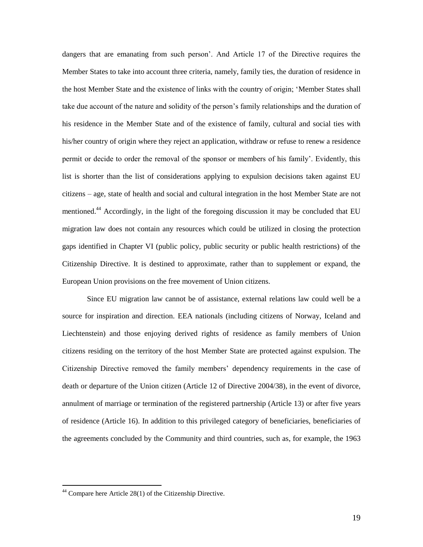dangers that are emanating from such person'. And Article 17 of the Directive requires the Member States to take into account three criteria, namely, family ties, the duration of residence in the host Member State and the existence of links with the country of origin; 'Member States shall take due account of the nature and solidity of the person's family relationships and the duration of his residence in the Member State and of the existence of family, cultural and social ties with his/her country of origin where they reject an application, withdraw or refuse to renew a residence permit or decide to order the removal of the sponsor or members of his family'. Evidently, this list is shorter than the list of considerations applying to expulsion decisions taken against EU citizens – age, state of health and social and cultural integration in the host Member State are not mentioned.<sup>44</sup> Accordingly, in the light of the foregoing discussion it may be concluded that EU migration law does not contain any resources which could be utilized in closing the protection gaps identified in Chapter VI (public policy, public security or public health restrictions) of the Citizenship Directive. It is destined to approximate, rather than to supplement or expand, the European Union provisions on the free movement of Union citizens.

Since EU migration law cannot be of assistance, external relations law could well be a source for inspiration and direction. EEA nationals (including citizens of Norway, Iceland and Liechtenstein) and those enjoying derived rights of residence as family members of Union citizens residing on the territory of the host Member State are protected against expulsion. The Citizenship Directive removed the family members' dependency requirements in the case of death or departure of the Union citizen (Article 12 of Directive 2004/38), in the event of divorce, annulment of marriage or termination of the registered partnership (Article 13) or after five years of residence (Article 16). In addition to this privileged category of beneficiaries, beneficiaries of the agreements concluded by the Community and third countries, such as, for example, the 1963

<sup>44</sup> Compare here Article 28(1) of the Citizenship Directive.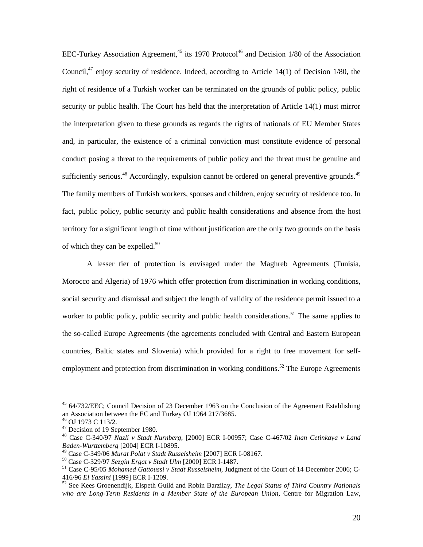EEC-Turkey Association Agreement,<sup>45</sup> its 1970 Protocol<sup>46</sup> and Decision 1/80 of the Association Council,<sup>47</sup> enjoy security of residence. Indeed, according to Article 14(1) of Decision 1/80, the right of residence of a Turkish worker can be terminated on the grounds of public policy, public security or public health. The Court has held that the interpretation of Article 14(1) must mirror the interpretation given to these grounds as regards the rights of nationals of EU Member States and, in particular, the existence of a criminal conviction must constitute evidence of personal conduct posing a threat to the requirements of public policy and the threat must be genuine and sufficiently serious.<sup>48</sup> Accordingly, expulsion cannot be ordered on general preventive grounds.<sup>49</sup> The family members of Turkish workers, spouses and children, enjoy security of residence too. In fact, public policy, public security and public health considerations and absence from the host territory for a significant length of time without justification are the only two grounds on the basis of which they can be expelled. $50<sup>50</sup>$ 

A lesser tier of protection is envisaged under the Maghreb Agreements (Tunisia, Morocco and Algeria) of 1976 which offer protection from discrimination in working conditions, social security and dismissal and subject the length of validity of the residence permit issued to a worker to public policy, public security and public health considerations.<sup>51</sup> The same applies to the so-called Europe Agreements (the agreements concluded with Central and Eastern European countries, Baltic states and Slovenia) which provided for a right to free movement for selfemployment and protection from discrimination in working conditions.<sup>52</sup> The Europe Agreements

<sup>&</sup>lt;sup>45</sup> 64/732/EEC; Council Decision of 23 December 1963 on the Conclusion of the Agreement Establishing an Association between the EC and Turkey OJ 1964 217/3685.

 $46$  OJ 1973 C 113/2.

<sup>47</sup> Decision of 19 September 1980.

<sup>48</sup> Case C-340/97 *Nazli v Stadt Nurnberg*, [2000] ECR I-00957; Case C-467/02 *Inan Cetinkaya v Land Baden-Wurttemberg* [2004] ECR I-10895.

<sup>49</sup> Case C-349/06 *Murat Polat v Stadt Russelsheim* [2007] ECR I-08167.

<sup>50</sup> Case C-329/97 *Sezgin Ergat v Stadt Ulm* [2000] ECR I-1487.

<sup>51</sup> Case C-95/05 *Mohamed Gattoussi v Stadt Russelsheim*, Judgment of the Court of 14 December 2006; C-416/96 *El Yassini* [1999] ECR I-1209.

<sup>52</sup> See Kees Groenendijk, Elspeth Guild and Robin Barzilay, *The Legal Status of Third Country Nationals who are Long-Term Residents in a Member State of the European Union*, Centre for Migration Law,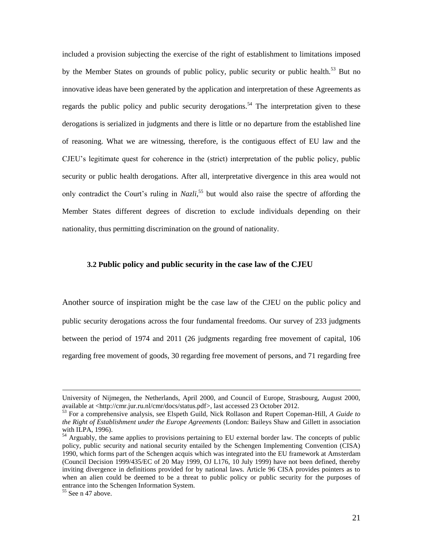included a provision subjecting the exercise of the right of establishment to limitations imposed by the Member States on grounds of public policy, public security or public health.<sup>53</sup> But no innovative ideas have been generated by the application and interpretation of these Agreements as regards the public policy and public security derogations.<sup>54</sup> The interpretation given to these derogations is serialized in judgments and there is little or no departure from the established line of reasoning. What we are witnessing, therefore, is the contiguous effect of EU law and the CJEU's legitimate quest for coherence in the (strict) interpretation of the public policy, public security or public health derogations. After all, interpretative divergence in this area would not only contradict the Court's ruling in *Nazli*,<sup>55</sup> but would also raise the spectre of affording the Member States different degrees of discretion to exclude individuals depending on their nationality, thus permitting discrimination on the ground of nationality.

### **3.2 Public policy and public security in the case law of the CJEU**

Another source of inspiration might be the case law of the CJEU on the public policy and public security derogations across the four fundamental freedoms. Our survey of 233 judgments between the period of 1974 and 2011 (26 judgments regarding free movement of capital, 106 regarding free movement of goods, 30 regarding free movement of persons, and 71 regarding free

University of Nijmegen, the Netherlands, April 2000, and Council of Europe, Strasbourg, August 2000, available at <http://cmr.jur.ru.nl/cmr/docs/status.pdf>, last accessed 23 October 2012.

<sup>53</sup> For a comprehensive analysis, see Elspeth Guild, Nick Rollason and Rupert Copeman-Hill, *A Guide to the Right of Establishment under the Europe Agreements* (London: Baileys Shaw and Gillett in association with ILPA, 1996).

<sup>&</sup>lt;sup>54</sup> Arguably, the same applies to provisions pertaining to EU external border law. The concepts of public policy, public security and national security entailed by the Schengen Implementing Convention (CISA) 1990, which forms part of the Schengen acquis which was integrated into the EU framework at Amsterdam (Council Decision 1999/435/EC of 20 May 1999, OJ L176, 10 July 1999) have not been defined, thereby inviting divergence in definitions provided for by national laws. Article 96 CISA provides pointers as to when an alien could be deemed to be a threat to public policy or public security for the purposes of entrance into the Schengen Information System.

<sup>&</sup>lt;sup>55</sup> See n 47 above.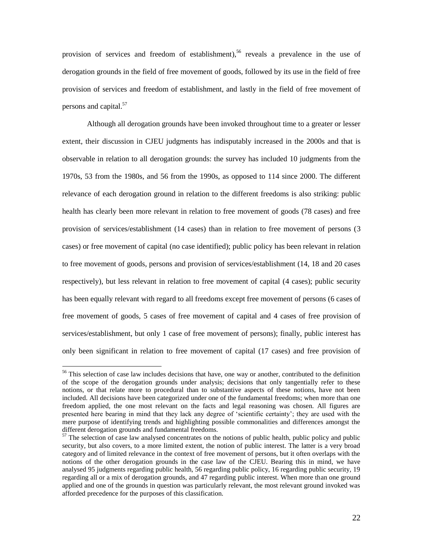provision of services and freedom of establishment),<sup>56</sup> reveals a prevalence in the use of derogation grounds in the field of free movement of goods, followed by its use in the field of free provision of services and freedom of establishment, and lastly in the field of free movement of persons and capital.<sup>57</sup>

Although all derogation grounds have been invoked throughout time to a greater or lesser extent, their discussion in CJEU judgments has indisputably increased in the 2000s and that is observable in relation to all derogation grounds: the survey has included 10 judgments from the 1970s, 53 from the 1980s, and 56 from the 1990s, as opposed to 114 since 2000. The different relevance of each derogation ground in relation to the different freedoms is also striking: public health has clearly been more relevant in relation to free movement of goods (78 cases) and free provision of services/establishment (14 cases) than in relation to free movement of persons (3 cases) or free movement of capital (no case identified); public policy has been relevant in relation to free movement of goods, persons and provision of services/establishment (14, 18 and 20 cases respectively), but less relevant in relation to free movement of capital (4 cases); public security has been equally relevant with regard to all freedoms except free movement of persons (6 cases of free movement of goods, 5 cases of free movement of capital and 4 cases of free provision of services/establishment, but only 1 case of free movement of persons); finally, public interest has only been significant in relation to free movement of capital (17 cases) and free provision of

<sup>&</sup>lt;sup>56</sup> This selection of case law includes decisions that have, one way or another, contributed to the definition of the scope of the derogation grounds under analysis; decisions that only tangentially refer to these notions, or that relate more to procedural than to substantive aspects of these notions, have not been included. All decisions have been categorized under one of the fundamental freedoms; when more than one freedom applied, the one most relevant on the facts and legal reasoning was chosen. All figures are presented here bearing in mind that they lack any degree of 'scientific certainty'; they are used with the mere purpose of identifying trends and highlighting possible commonalities and differences amongst the different derogation grounds and fundamental freedoms.

<sup>&</sup>lt;sup>57</sup> The selection of case law analysed concentrates on the notions of public health, public policy and public security, but also covers, to a more limited extent, the notion of public interest. The latter is a very broad category and of limited relevance in the context of free movement of persons, but it often overlaps with the notions of the other derogation grounds in the case law of the CJEU. Bearing this in mind, we have analysed 95 judgments regarding public health, 56 regarding public policy, 16 regarding public security, 19 regarding all or a mix of derogation grounds, and 47 regarding public interest. When more than one ground applied and one of the grounds in question was particularly relevant, the most relevant ground invoked was afforded precedence for the purposes of this classification.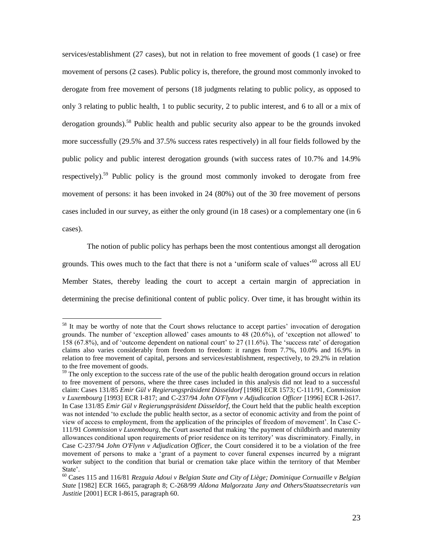services/establishment (27 cases), but not in relation to free movement of goods (1 case) or free movement of persons (2 cases). Public policy is, therefore, the ground most commonly invoked to derogate from free movement of persons (18 judgments relating to public policy, as opposed to only 3 relating to public health, 1 to public security, 2 to public interest, and 6 to all or a mix of derogation grounds).<sup>58</sup> Public health and public security also appear to be the grounds invoked more successfully (29.5% and 37.5% success rates respectively) in all four fields followed by the public policy and public interest derogation grounds (with success rates of 10.7% and 14.9% respectively).<sup>59</sup> Public policy is the ground most commonly invoked to derogate from free movement of persons: it has been invoked in 24 (80%) out of the 30 free movement of persons cases included in our survey, as either the only ground (in 18 cases) or a complementary one (in 6 cases).

The notion of public policy has perhaps been the most contentious amongst all derogation grounds. This owes much to the fact that there is not a 'uniform scale of values'<sup>60</sup> across all EU Member States, thereby leading the court to accept a certain margin of appreciation in determining the precise definitional content of public policy. Over time, it has brought within its

<sup>&</sup>lt;sup>58</sup> It may be worthy of note that the Court shows reluctance to accept parties' invocation of derogation grounds. The number of 'exception allowed' cases amounts to 48 (20.6%), of 'exception not allowed' to 158 (67.8%), and of 'outcome dependent on national court' to 27 (11.6%). The 'success rate' of derogation claims also varies considerably from freedom to freedom: it ranges from 7.7%, 10.0% and 16.9% in relation to free movement of capital, persons and services/establishment, respectively, to 29.2% in relation to the free movement of goods.

<sup>&</sup>lt;sup>59</sup> The only exception to the success rate of the use of the public health derogation ground occurs in relation to free movement of persons, where the three cases included in this analysis did not lead to a successful claim: Cases 131/85 *Emir Gül v Regierungspräsident Düsseldorf* [1986] ECR 1573; C-111/91, *Commission v Luxembourg* [1993] ECR I-817; and C-237/94 *John O'Flynn v Adjudication Officer* [1996] ECR I-2617. In Case 131/85 *Emir Gül v Regierungspräsident Düsseldorf*, the Court held that the public health exception was not intended 'to exclude the public health sector, as a sector of economic activity and from the point of view of access to employment, from the application of the principles of freedom of movement'. In Case C-111/91 *Commission v Luxembourg*, the Court asserted that making 'the payment of childbirth and maternity allowances conditional upon requirements of prior residence on its territory' was discriminatory. Finally, in Case C-237/94 *John O'Flynn v Adjudication Officer*, the Court considered it to be a violation of the free movement of persons to make a 'grant of a payment to cover funeral expenses incurred by a migrant worker subject to the condition that burial or cremation take place within the territory of that Member State'.

<sup>60</sup> Cases 115 and 116/81 *Rezguia Adoui v Belgian State and City of Liège; Dominique Cornuaille v Belgian State* [1982] ECR 1665, paragraph 8; C-268/99 *Aldona Malgorzata Jany and Others/Staatssecretaris van Justitie* [2001] ECR I-8615, paragraph 60.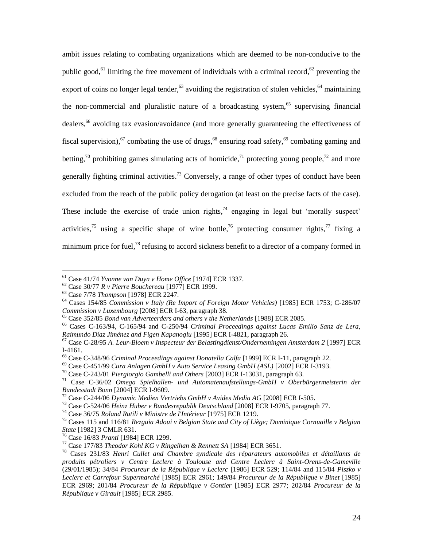ambit issues relating to combating organizations which are deemed to be non-conducive to the public good,<sup>61</sup> limiting the free movement of individuals with a criminal record,<sup>62</sup> preventing the export of coins no longer legal tender,<sup>63</sup> avoiding the registration of stolen vehicles, <sup>64</sup> maintaining the non-commercial and pluralistic nature of a broadcasting system,<sup>65</sup> supervising financial dealers,<sup>66</sup> avoiding tax evasion/avoidance (and more generally guaranteeing the effectiveness of fiscal supervision),<sup>67</sup> combating the use of drugs,<sup>68</sup> ensuring road safety,<sup>69</sup> combating gaming and betting,<sup>70</sup> prohibiting games simulating acts of homicide,<sup>71</sup> protecting young people,<sup>72</sup> and more generally fighting criminal activities.<sup>73</sup> Conversely, a range of other types of conduct have been excluded from the reach of the public policy derogation (at least on the precise facts of the case). These include the exercise of trade union rights,  $^{74}$  engaging in legal but 'morally suspect' activities,<sup>75</sup> using a specific shape of wine bottle,<sup>76</sup> protecting consumer rights,<sup>77</sup> fixing a minimum price for fuel,<sup>78</sup> refusing to accord sickness benefit to a director of a company formed in

<sup>61</sup> Case 41/74 *Yvonne van Duyn v Home Office* [1974] ECR 1337.

<sup>62</sup> Case 30/77 *R v Pierre Bouchereau* [1977] ECR 1999.

<sup>63</sup> Case 7/78 *Thompson* [1978] ECR 2247.

<sup>64</sup> Cases 154/85 *Commission v Italy (Re Import of Foreign Motor Vehicles)* [1985] ECR 1753; C-286/07 *Commission v Luxembourg* [2008] ECR I-63, paragraph 38.

<sup>65</sup> Case 352/85 *Bond van Adverteerders and others v the Netherlands* [1988] ECR 2085.

<sup>66</sup> Cases C-163/94, C-165/94 and C-250/94 *Criminal Proceedings against Lucas Emilio Sanz de Lera, Raimundo Díaz Jiménez and Figen Kapanoglu* [1995] ECR I-4821, paragraph 26.

<sup>67</sup> Case C-28/95 *A. Leur-Bloem v Inspecteur der Belastingdienst/Ondernemingen Amsterdam 2* [1997] ECR I-4161.

<sup>68</sup> Case C-348/96 *Criminal Proceedings against Donatella Calfa* [1999] ECR I-11, paragraph 22.

<sup>69</sup> Case C-451/99 *Cura Anlagen GmbH v Auto Service Leasing GmbH (ASL)* [2002] ECR I-3193.

<sup>70</sup> Case C-243/01 *Piergiorgio Gambelli and Others* [2003] ECR I-13031, paragraph 63.

<sup>71</sup> Case C-36/02 *Omega Spielhallen- und Automatenaufstellungs-GmbH v Oberbürgermeisterin der Bundesstadt Bonn* [2004] ECR I-9609.

<sup>72</sup> Case C-244/06 *Dynamic Medien Vertriebs GmbH v Avides Media AG* [2008] ECR I-505.

<sup>73</sup> Case C-524/06 *Heinz Huber v Bundesrepublik Deutschland* [2008] ECR I-9705, paragraph 77.

<sup>74</sup> Case 36/75 *Roland Rutili v Ministre de l'Intérieur* [1975] ECR 1219.

<sup>75</sup> Cases 115 and 116/81 *Rezguia Adoui v Belgian State and City of Liège; Dominique Cornuaille v Belgian State* [1982] 3 CMLR 631.

<sup>76</sup> Case 16/83 *Prantl* [1984] ECR 1299.

<sup>77</sup> Case 177/83 *Theodor Kohl KG v Ringelhan & Rennett SA* [1984] ECR 3651.

<sup>78</sup> Cases 231/83 *Henri Cullet and Chambre syndicale des réparateurs automobiles et détaillants de produits pétroliers v Centre Leclerc à Toulouse and Centre Leclerc à Saint-Orens-de-Gameville* (29/01/1985); 34/84 *Procureur de la République v Leclerc* [1986] ECR 529; 114/84 and 115/84 *Piszko v Leclerc et Carrefour Supermarché* [1985] ECR 2961; 149/84 *Procureur de la République v Binet* [1985] ECR 2969; 201/84 *Procureur de la République v Gontier* [1985] ECR 2977; 202/84 *Procureur de la République v Girault* [1985] ECR 2985.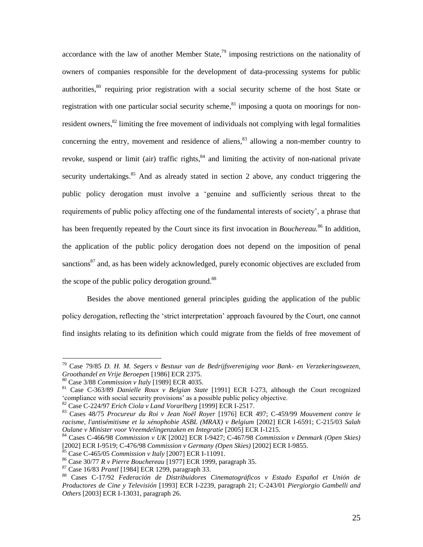accordance with the law of another Member State, $\frac{79}{9}$  imposing restrictions on the nationality of owners of companies responsible for the development of data-processing systems for public authorities,<sup>80</sup> requiring prior registration with a social security scheme of the host State or registration with one particular social security scheme, <sup>81</sup> imposing a quota on moorings for nonresident owners,<sup>82</sup> limiting the free movement of individuals not complying with legal formalities concerning the entry, movement and residence of aliens,<sup>83</sup> allowing a non-member country to revoke, suspend or limit (air) traffic rights,<sup>84</sup> and limiting the activity of non-national private security undertakings.<sup>85</sup> And as already stated in section 2 above, any conduct triggering the public policy derogation must involve a 'genuine and sufficiently serious threat to the requirements of public policy affecting one of the fundamental interests of society', a phrase that has been frequently repeated by the Court since its first invocation in *Bouchereau.* <sup>86</sup> In addition, the application of the public policy derogation does not depend on the imposition of penal sanctions<sup>87</sup> and, as has been widely acknowledged, purely economic objectives are excluded from the scope of the public policy derogation ground.<sup>88</sup>

Besides the above mentioned general principles guiding the application of the public policy derogation, reflecting the 'strict interpretation' approach favoured by the Court, one cannot find insights relating to its definition which could migrate from the fields of free movement of

<sup>79</sup> Case 79/85 *D. H. M. Segers v Bestuur van de Bedrijfsvereniging voor Bank- en Verzekeringswezen, Groothandel en Vrije Beroepen* [1986] ECR 2375.

<sup>80</sup> Case 3/88 *Commission v Italy* [1989] ECR 4035.

<sup>81</sup> Case C-363/89 *Danielle Roux v Belgian State* [1991] ECR I-273, although the Court recognized 'compliance with social security provisions' as a possible public policy objective.

<sup>82</sup> Case C-224/97 *Erich Ciola v Land Vorarlberg* [1999] ECR I-2517.

<sup>83</sup> Cases 48/75 *Procureur du Roi v Jean Noël Royer* [1976] ECR 497; C-459/99 *Mouvement contre le racisme, l'antisémitisme et la xénophobie ASBL (MRAX) v Belgium* [2002] ECR I-6591; C-215/03 *Salah Oulane v Minister voor Vreemdelingenzaken en Integratie* [2005] ECR I-1215.

<sup>84</sup> Cases C-466/98 *Commission v UK* [2002] ECR I-9427; C-467/98 *Commission v Denmark (Open Skies)* [2002] ECR I-9519; C-476/98 *Commission v Germany (Open Skies)* [2002] ECR I-9855.

<sup>85</sup> Case C-465/05 *Commission v Italy* [2007] ECR I-11091.

<sup>86</sup> Case 30/77 *R v Pierre Bouchereau* [1977] ECR 1999, paragraph 35.

<sup>87</sup> Case 16/83 *Prantl* [1984] ECR 1299, paragraph 33.

<sup>88</sup> Cases C-17/92 *Federación de Distribuidores Cinematográficos v Estado Español et Unión de Productores de Cine y Televisión* [1993] ECR I-2239, paragraph 21; C-243/01 *Piergiorgio Gambelli and Others* [2003] ECR I-13031, paragraph 26.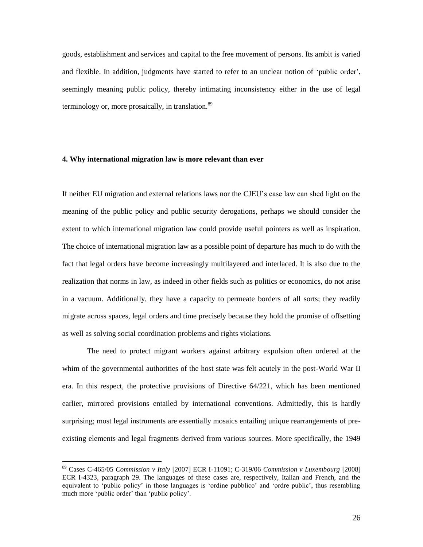goods, establishment and services and capital to the free movement of persons. Its ambit is varied and flexible. In addition, judgments have started to refer to an unclear notion of 'public order', seemingly meaning public policy, thereby intimating inconsistency either in the use of legal terminology or, more prosaically, in translation.<sup>89</sup>

## **4. Why international migration law is more relevant than ever**

If neither EU migration and external relations laws nor the CJEU's case law can shed light on the meaning of the public policy and public security derogations, perhaps we should consider the extent to which international migration law could provide useful pointers as well as inspiration. The choice of international migration law as a possible point of departure has much to do with the fact that legal orders have become increasingly multilayered and interlaced. It is also due to the realization that norms in law, as indeed in other fields such as politics or economics, do not arise in a vacuum. Additionally, they have a capacity to permeate borders of all sorts; they readily migrate across spaces, legal orders and time precisely because they hold the promise of offsetting as well as solving social coordination problems and rights violations.

The need to protect migrant workers against arbitrary expulsion often ordered at the whim of the governmental authorities of the host state was felt acutely in the post-World War II era. In this respect, the protective provisions of Directive 64/221, which has been mentioned earlier, mirrored provisions entailed by international conventions. Admittedly, this is hardly surprising; most legal instruments are essentially mosaics entailing unique rearrangements of preexisting elements and legal fragments derived from various sources. More specifically, the 1949

<sup>89</sup> Cases C-465/05 *Commission v Italy* [2007] ECR I-11091; C-319/06 *Commission v Luxembourg* [2008] ECR I-4323, paragraph 29. The languages of these cases are, respectively, Italian and French, and the equivalent to 'public policy' in those languages is 'ordine pubblico' and 'ordre public', thus resembling much more 'public order' than 'public policy'.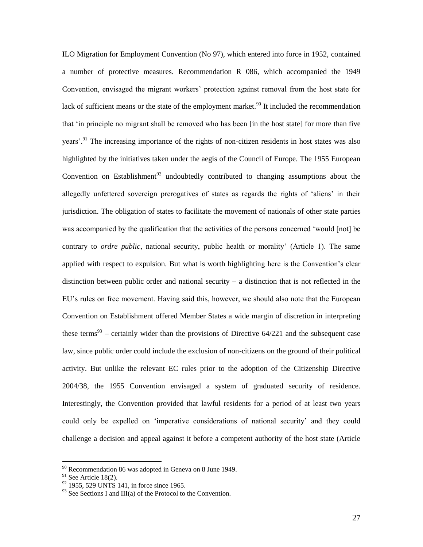ILO Migration for Employment Convention (No 97), which entered into force in 1952, contained a number of protective measures. Recommendation R 086, which accompanied the 1949 Convention, envisaged the migrant workers' protection against removal from the host state for lack of sufficient means or the state of the employment market.<sup>90</sup> It included the recommendation that 'in principle no migrant shall be removed who has been [in the host state] for more than five years'.<sup>91</sup> The increasing importance of the rights of non-citizen residents in host states was also highlighted by the initiatives taken under the aegis of the Council of Europe. The 1955 European Convention on Establishment<sup>92</sup> undoubtedly contributed to changing assumptions about the allegedly unfettered sovereign prerogatives of states as regards the rights of 'aliens' in their jurisdiction. The obligation of states to facilitate the movement of nationals of other state parties was accompanied by the qualification that the activities of the persons concerned 'would [not] be contrary to *ordre public*, national security, public health or morality' (Article 1). The same applied with respect to expulsion. But what is worth highlighting here is the Convention's clear distinction between public order and national security – a distinction that is not reflected in the EU's rules on free movement. Having said this, however, we should also note that the European Convention on Establishment offered Member States a wide margin of discretion in interpreting these terms<sup>93</sup> – certainly wider than the provisions of Directive  $64/221$  and the subsequent case law, since public order could include the exclusion of non-citizens on the ground of their political activity. But unlike the relevant EC rules prior to the adoption of the Citizenship Directive 2004/38, the 1955 Convention envisaged a system of graduated security of residence. Interestingly, the Convention provided that lawful residents for a period of at least two years could only be expelled on 'imperative considerations of national security' and they could challenge a decision and appeal against it before a competent authority of the host state (Article

 $90$  Recommendation 86 was adopted in Geneva on 8 June 1949.

 $91$  See Article 18(2).

 $92$  1955, 529 UNTS 141, in force since 1965.

 $93$  See Sections I and III(a) of the Protocol to the Convention.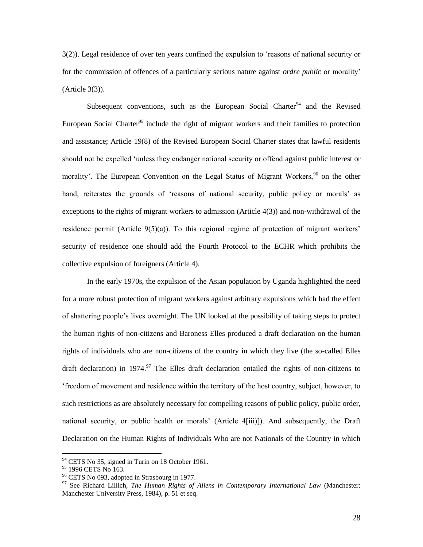3(2)). Legal residence of over ten years confined the expulsion to 'reasons of national security or for the commission of offences of a particularly serious nature against *ordre public* or morality' (Article 3(3)).

Subsequent conventions, such as the European Social Charter<sup>94</sup> and the Revised European Social Charter<sup>95</sup> include the right of migrant workers and their families to protection and assistance; Article 19(8) of the Revised European Social Charter states that lawful residents should not be expelled 'unless they endanger national security or offend against public interest or morality'. The European Convention on the Legal Status of Migrant Workers,<sup>96</sup> on the other hand, reiterates the grounds of 'reasons of national security, public policy or morals' as exceptions to the rights of migrant workers to admission (Article 4(3)) and non-withdrawal of the residence permit (Article 9(5)(a)). To this regional regime of protection of migrant workers' security of residence one should add the Fourth Protocol to the ECHR which prohibits the collective expulsion of foreigners (Article 4).

In the early 1970s, the expulsion of the Asian population by Uganda highlighted the need for a more robust protection of migrant workers against arbitrary expulsions which had the effect of shattering people's lives overnight. The UN looked at the possibility of taking steps to protect the human rights of non-citizens and Baroness Elles produced a draft declaration on the human rights of individuals who are non-citizens of the country in which they live (the so-called Elles draft declaration) in 1974.<sup>97</sup> The Elles draft declaration entailed the rights of non-citizens to 'freedom of movement and residence within the territory of the host country, subject, however, to such restrictions as are absolutely necessary for compelling reasons of public policy, public order, national security, or public health or morals' (Article 4[iii)]). And subsequently, the Draft Declaration on the Human Rights of Individuals Who are not Nationals of the Country in which

<sup>&</sup>lt;sup>94</sup> CETS No 35, signed in Turin on 18 October 1961.

<sup>95 1996</sup> CETS No 163.

<sup>96</sup> CETS No 093, adopted in Strasbourg in 1977.

<sup>&</sup>lt;sup>97</sup> See Richard Lillich, *The Human Rights of Aliens in Contemporary International Law* (Manchester: Manchester University Press, 1984), p. 51 et seq.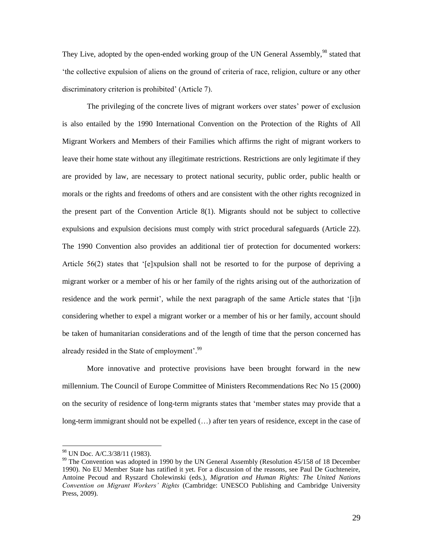They Live, adopted by the open-ended working group of the UN General Assembly,<sup>98</sup> stated that 'the collective expulsion of aliens on the ground of criteria of race, religion, culture or any other discriminatory criterion is prohibited' (Article 7).

The privileging of the concrete lives of migrant workers over states' power of exclusion is also entailed by the 1990 International Convention on the Protection of the Rights of All Migrant Workers and Members of their Families which affirms the right of migrant workers to leave their home state without any illegitimate restrictions. Restrictions are only legitimate if they are provided by law, are necessary to protect national security, public order, public health or morals or the rights and freedoms of others and are consistent with the other rights recognized in the present part of the Convention Article 8(1). Migrants should not be subject to collective expulsions and expulsion decisions must comply with strict procedural safeguards (Article 22). The 1990 Convention also provides an additional tier of protection for documented workers: Article 56(2) states that '[e]xpulsion shall not be resorted to for the purpose of depriving a migrant worker or a member of his or her family of the rights arising out of the authorization of residence and the work permit', while the next paragraph of the same Article states that '[i]n considering whether to expel a migrant worker or a member of his or her family, account should be taken of humanitarian considerations and of the length of time that the person concerned has already resided in the State of employment'.<sup>99</sup>

More innovative and protective provisions have been brought forward in the new millennium. The Council of Europe Committee of Ministers Recommendations Rec No 15 (2000) on the security of residence of long-term migrants states that 'member states may provide that a long-term immigrant should not be expelled (…) after ten years of residence, except in the case of

<sup>&</sup>lt;sup>98</sup> UN Doc. A/C.3/38/11 (1983).

<sup>&</sup>lt;sup>99</sup> The Convention was adopted in 1990 by the UN General Assembly (Resolution 45/158 of 18 December 1990). No EU Member State has ratified it yet. For a discussion of the reasons, see Paul De Guchteneire, Antoine Pecoud and Ryszard Cholewinski (eds*.*), *Migration and Human Rights: The United Nations Convention on Migrant Workers' Rights* (Cambridge: UNESCO Publishing and Cambridge University Press, 2009).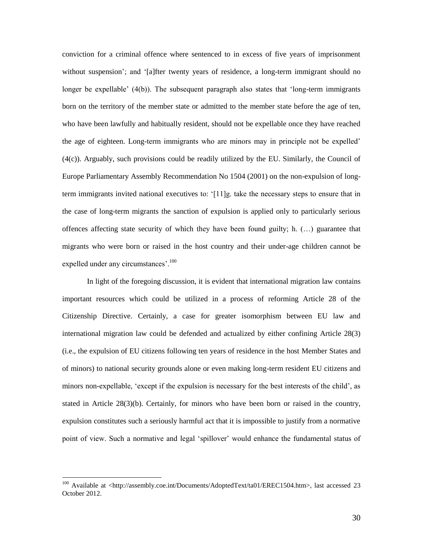conviction for a criminal offence where sentenced to in excess of five years of imprisonment without suspension'; and '[a]fter twenty years of residence, a long-term immigrant should no longer be expellable' (4(b)). The subsequent paragraph also states that 'long-term immigrants born on the territory of the member state or admitted to the member state before the age of ten, who have been lawfully and habitually resident, should not be expellable once they have reached the age of eighteen. Long-term immigrants who are minors may in principle not be expelled' (4(c)). Arguably, such provisions could be readily utilized by the EU. Similarly, the Council of Europe Parliamentary Assembly Recommendation No 1504 (2001) on the non-expulsion of longterm immigrants invited national executives to: '[11]g. take the necessary steps to ensure that in the case of long-term migrants the sanction of expulsion is applied only to particularly serious offences affecting state security of which they have been found guilty; h. (…) guarantee that migrants who were born or raised in the host country and their under-age children cannot be expelled under any circumstances'.<sup>100</sup>

In light of the foregoing discussion, it is evident that international migration law contains important resources which could be utilized in a process of reforming Article 28 of the Citizenship Directive. Certainly, a case for greater isomorphism between EU law and international migration law could be defended and actualized by either confining Article 28(3) (i.e., the expulsion of EU citizens following ten years of residence in the host Member States and of minors) to national security grounds alone or even making long-term resident EU citizens and minors non-expellable, 'except if the expulsion is necessary for the best interests of the child', as stated in Article 28(3)(b). Certainly, for minors who have been born or raised in the country, expulsion constitutes such a seriously harmful act that it is impossible to justify from a normative point of view. Such a normative and legal 'spillover' would enhance the fundamental status of

<sup>&</sup>lt;sup>100</sup> Available at <http://assembly.coe.int/Documents/AdoptedText/ta01/EREC1504.htm>, last accessed 23 October 2012.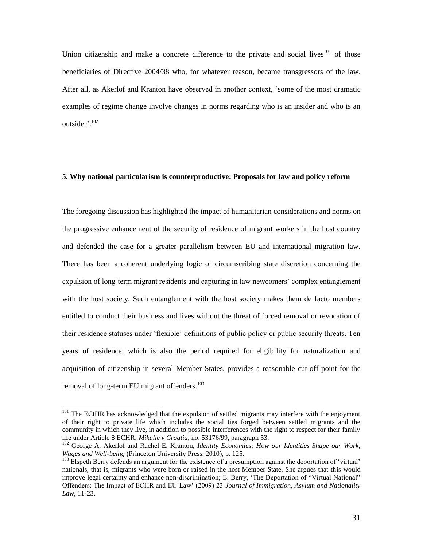Union citizenship and make a concrete difference to the private and social lives<sup>101</sup> of those beneficiaries of Directive 2004/38 who, for whatever reason, became transgressors of the law. After all, as Akerlof and Kranton have observed in another context, 'some of the most dramatic examples of regime change involve changes in norms regarding who is an insider and who is an outsider<sup>, 102</sup>

#### **5. Why national particularism is counterproductive: Proposals for law and policy reform**

The foregoing discussion has highlighted the impact of humanitarian considerations and norms on the progressive enhancement of the security of residence of migrant workers in the host country and defended the case for a greater parallelism between EU and international migration law. There has been a coherent underlying logic of circumscribing state discretion concerning the expulsion of long-term migrant residents and capturing in law newcomers' complex entanglement with the host society. Such entanglement with the host society makes them de facto members entitled to conduct their business and lives without the threat of forced removal or revocation of their residence statuses under 'flexible' definitions of public policy or public security threats. Ten years of residence, which is also the period required for eligibility for naturalization and acquisition of citizenship in several Member States, provides a reasonable cut-off point for the removal of long-term EU migrant offenders.<sup>103</sup>

<sup>&</sup>lt;sup>101</sup> The ECtHR has acknowledged that the expulsion of settled migrants may interfere with the enjoyment of their right to private life which includes the social ties forged between settled migrants and the community in which they live, in addition to possible interferences with the right to respect for their family life under Article 8 ECHR; *Mikulic v Croatia*, no. 53176/99, paragraph 53.

<sup>102</sup> George A. Akerlof and Rachel E. Kranton, *Identity Economics; How our Identities Shape our Work, Wages and Well-being* (Princeton University Press, 2010), p. 125.

<sup>&</sup>lt;sup>103</sup> Elspeth Berry defends an argument for the existence of a presumption against the deportation of 'virtual' nationals, that is, migrants who were born or raised in the host Member State. She argues that this would improve legal certainty and enhance non-discrimination; E. Berry, 'The Deportation of "Virtual National" Offenders: The Impact of ECHR and EU Law' (2009) 23 *Journal of Immigration, Asylum and Nationality Law*, 11-23.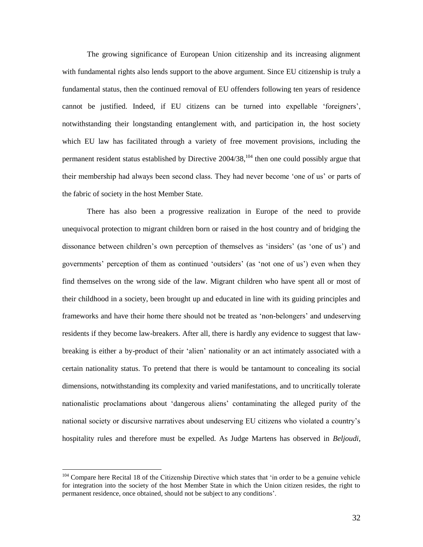The growing significance of European Union citizenship and its increasing alignment with fundamental rights also lends support to the above argument. Since EU citizenship is truly a fundamental status, then the continued removal of EU offenders following ten years of residence cannot be justified. Indeed, if EU citizens can be turned into expellable 'foreigners', notwithstanding their longstanding entanglement with, and participation in, the host society which EU law has facilitated through a variety of free movement provisions, including the permanent resident status established by Directive  $2004/38$ ,  $^{104}$  then one could possibly argue that their membership had always been second class. They had never become 'one of us' or parts of the fabric of society in the host Member State.

There has also been a progressive realization in Europe of the need to provide unequivocal protection to migrant children born or raised in the host country and of bridging the dissonance between children's own perception of themselves as 'insiders' (as 'one of us') and governments' perception of them as continued 'outsiders' (as 'not one of us') even when they find themselves on the wrong side of the law. Migrant children who have spent all or most of their childhood in a society, been brought up and educated in line with its guiding principles and frameworks and have their home there should not be treated as 'non-belongers' and undeserving residents if they become law-breakers. After all, there is hardly any evidence to suggest that lawbreaking is either a by-product of their 'alien' nationality or an act intimately associated with a certain nationality status. To pretend that there is would be tantamount to concealing its social dimensions, notwithstanding its complexity and varied manifestations, and to uncritically tolerate nationalistic proclamations about 'dangerous aliens' contaminating the alleged purity of the national society or discursive narratives about undeserving EU citizens who violated a country's hospitality rules and therefore must be expelled. As Judge Martens has observed in *Beljoudi*,

<sup>&</sup>lt;sup>104</sup> Compare here Recital 18 of the Citizenship Directive which states that 'in order to be a genuine vehicle for integration into the society of the host Member State in which the Union citizen resides, the right to permanent residence, once obtained, should not be subject to any conditions'.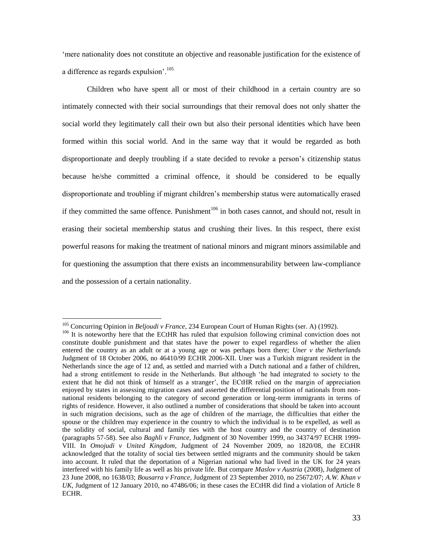'mere nationality does not constitute an objective and reasonable justification for the existence of a difference as regards expulsion'.<sup>105</sup>

Children who have spent all or most of their childhood in a certain country are so intimately connected with their social surroundings that their removal does not only shatter the social world they legitimately call their own but also their personal identities which have been formed within this social world. And in the same way that it would be regarded as both disproportionate and deeply troubling if a state decided to revoke a person's citizenship status because he/she committed a criminal offence, it should be considered to be equally disproportionate and troubling if migrant children's membership status were automatically erased if they committed the same offence. Punishment<sup>106</sup> in both cases cannot, and should not, result in erasing their societal membership status and crushing their lives. In this respect, there exist powerful reasons for making the treatment of national minors and migrant minors assimilable and for questioning the assumption that there exists an incommensurability between law-compliance and the possession of a certain nationality.

<sup>105</sup> Concurring Opinion in *Beljoudi v France*, 234 European Court of Human Rights (ser. A) (1992).

<sup>&</sup>lt;sup>106</sup> It is noteworthy here that the ECtHR has ruled that expulsion following criminal conviction does not constitute double punishment and that states have the power to expel regardless of whether the alien entered the country as an adult or at a young age or was perhaps born there; *Uner v the Netherlands* Judgment of 18 October 2006, no 46410/99 ECHR 2006-XII. Uner was a Turkish migrant resident in the Netherlands since the age of 12 and, as settled and married with a Dutch national and a father of children, had a strong entitlement to reside in the Netherlands. But although 'he had integrated to society to the extent that he did not think of himself as a stranger', the ECtHR relied on the margin of appreciation enjoyed by states in assessing migration cases and asserted the differential position of nationals from nonnational residents belonging to the category of second generation or long-term immigrants in terms of rights of residence. However, it also outlined a number of considerations that should be taken into account in such migration decisions, such as the age of children of the marriage, the difficulties that either the spouse or the children may experience in the country to which the individual is to be expelled, as well as the solidity of social, cultural and family ties with the host country and the country of destination (paragraphs 57-58). See also *Baghli v France*, Judgment of 30 November 1999, no 34374/97 ECHR 1999- VIII. In *Omojudi v United Kingdom*, Judgment of 24 November 2009, no 1820/08, the ECtHR acknowledged that the totality of social ties between settled migrants and the community should be taken into account. It ruled that the deportation of a Nigerian national who had lived in the UK for 24 years interfered with his family life as well as his private life. But compare *Maslov v Austria* (2008), Judgment of 23 June 2008, no 1638/03; *Bousarra v France*, Judgment of 23 September 2010, no 25672/07; *A.W. Khan v UK*, Judgment of 12 January 2010, no 47486/06; in these cases the ECtHR did find a violation of Article 8 ECHR.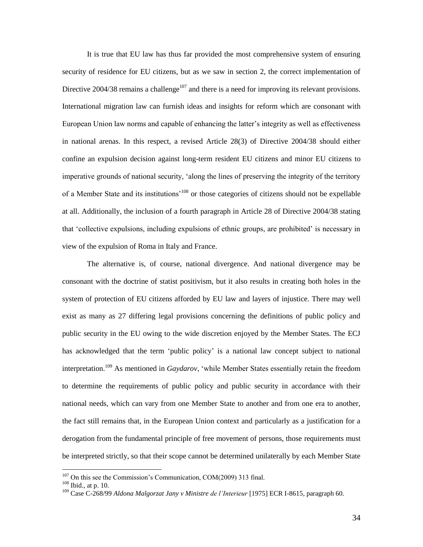It is true that EU law has thus far provided the most comprehensive system of ensuring security of residence for EU citizens, but as we saw in section 2, the correct implementation of Directive 2004/38 remains a challenge<sup>107</sup> and there is a need for improving its relevant provisions. International migration law can furnish ideas and insights for reform which are consonant with European Union law norms and capable of enhancing the latter's integrity as well as effectiveness in national arenas. In this respect, a revised Article 28(3) of Directive 2004/38 should either confine an expulsion decision against long-term resident EU citizens and minor EU citizens to imperative grounds of national security, 'along the lines of preserving the integrity of the territory of a Member State and its institutions'<sup>108</sup> or those categories of citizens should not be expellable at all. Additionally, the inclusion of a fourth paragraph in Article 28 of Directive 2004/38 stating that 'collective expulsions, including expulsions of ethnic groups, are prohibited' is necessary in view of the expulsion of Roma in Italy and France.

The alternative is, of course, national divergence. And national divergence may be consonant with the doctrine of statist positivism, but it also results in creating both holes in the system of protection of EU citizens afforded by EU law and layers of injustice. There may well exist as many as 27 differing legal provisions concerning the definitions of public policy and public security in the EU owing to the wide discretion enjoyed by the Member States. The ECJ has acknowledged that the term 'public policy' is a national law concept subject to national interpretation.<sup>109</sup> As mentioned in *Gaydarov*, 'while Member States essentially retain the freedom to determine the requirements of public policy and public security in accordance with their national needs, which can vary from one Member State to another and from one era to another, the fact still remains that, in the European Union context and particularly as a justification for a derogation from the fundamental principle of free movement of persons, those requirements must be interpreted strictly, so that their scope cannot be determined unilaterally by each Member State

 $107$  On this see the Commission's Communication, COM(2009) 313 final.

<sup>108</sup> Ibid., at p. 10.

<sup>109</sup> Case C-268/99 *Aldona Malgorzat Jany v Ministre de l'Interieur* [1975] ECR I-8615, paragraph 60.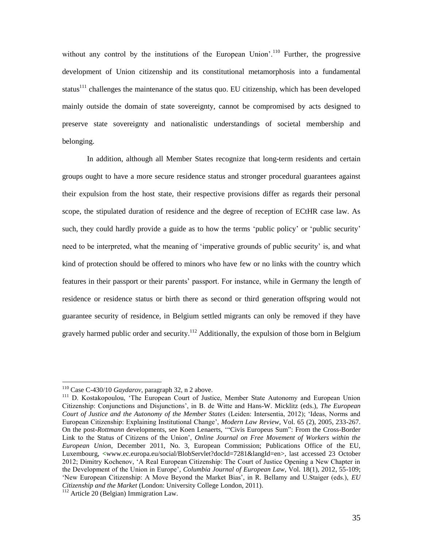without any control by the institutions of the European Union'.<sup>110</sup> Further, the progressive development of Union citizenship and its constitutional metamorphosis into a fundamental status $111$  challenges the maintenance of the status quo. EU citizenship, which has been developed mainly outside the domain of state sovereignty, cannot be compromised by acts designed to preserve state sovereignty and nationalistic understandings of societal membership and belonging.

In addition, although all Member States recognize that long-term residents and certain groups ought to have a more secure residence status and stronger procedural guarantees against their expulsion from the host state, their respective provisions differ as regards their personal scope, the stipulated duration of residence and the degree of reception of ECtHR case law. As such, they could hardly provide a guide as to how the terms 'public policy' or 'public security' need to be interpreted, what the meaning of 'imperative grounds of public security' is, and what kind of protection should be offered to minors who have few or no links with the country which features in their passport or their parents' passport. For instance, while in Germany the length of residence or residence status or birth there as second or third generation offspring would not guarantee security of residence, in Belgium settled migrants can only be removed if they have gravely harmed public order and security.<sup>112</sup> Additionally, the expulsion of those born in Belgium

<sup>110</sup> Case C-430/10 *Gaydarov*, paragraph 32, n 2 above.

<sup>&</sup>lt;sup>111</sup> D. Kostakopoulou, 'The European Court of Justice, Member State Autonomy and European Union Citizenship: Conjunctions and Disjunctions', in B. de Witte and Hans-W. Micklitz (eds.), *The European Court of Justice and the Autonomy of the Member States* (Leiden: Intersentia, 2012); 'Ideas, Norms and European Citizenship: Explaining Institutional Change', *Modern Law Review*, Vol. 65 (2), 2005, 233-267. On the post-*Rottmann* developments, see Koen Lenaerts, '"Civis Europeus Sum": From the Cross-Border Link to the Status of Citizens of the Union', *Online Journal on Free Movement of Workers within the European Union*, December 2011, No. 3, European Commission; Publications Office of the EU, Luxembourg, **<**www.ec.europa.eu/social/BlobServlet?docId=7281&langId=en>, last accessed 23 October 2012; Dimitry Kochenov, 'A Real European Citizenship: The Court of Justice Opening a New Chapter in the Development of the Union in Europe', *Columbia Journal of European Law*, Vol. 18(1), 2012, 55-109; 'New European Citizenship: A Move Beyond the Market Bias', in R. Bellamy and U.Staiger (eds.), *EU Citizenship and the Market* (London: University College London, 2011). <sup>112</sup> Article 20 (Belgian) Immigration Law.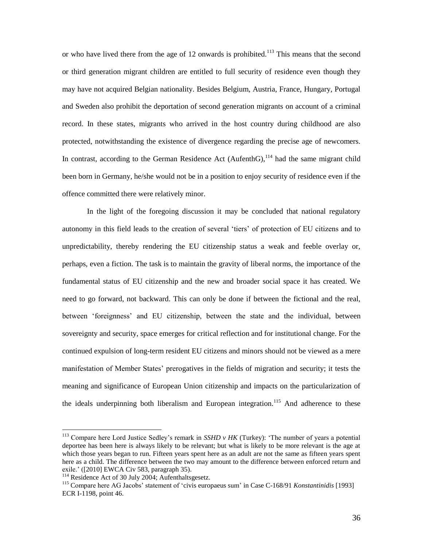or who have lived there from the age of 12 onwards is prohibited.<sup>113</sup> This means that the second or third generation migrant children are entitled to full security of residence even though they may have not acquired Belgian nationality. Besides Belgium, Austria, France, Hungary, Portugal and Sweden also prohibit the deportation of second generation migrants on account of a criminal record. In these states, migrants who arrived in the host country during childhood are also protected, notwithstanding the existence of divergence regarding the precise age of newcomers. In contrast, according to the German Residence Act (AufenthG),<sup>114</sup> had the same migrant child been born in Germany, he/she would not be in a position to enjoy security of residence even if the offence committed there were relatively minor.

In the light of the foregoing discussion it may be concluded that national regulatory autonomy in this field leads to the creation of several 'tiers' of protection of EU citizens and to unpredictability, thereby rendering the EU citizenship status a weak and feeble overlay or, perhaps, even a fiction. The task is to maintain the gravity of liberal norms, the importance of the fundamental status of EU citizenship and the new and broader social space it has created. We need to go forward, not backward. This can only be done if between the fictional and the real, between 'foreignness' and EU citizenship, between the state and the individual, between sovereignty and security, space emerges for critical reflection and for institutional change. For the continued expulsion of long-term resident EU citizens and minors should not be viewed as a mere manifestation of Member States' prerogatives in the fields of migration and security; it tests the meaning and significance of European Union citizenship and impacts on the particularization of the ideals underpinning both liberalism and European integration.<sup>115</sup> And adherence to these

<sup>113</sup> Compare here Lord Justice Sedley's remark in *SSHD v HK* (Turkey): 'The number of years a potential deportee has been here is always likely to be relevant; but what is likely to be more relevant is the age at which those years began to run. Fifteen years spent here as an adult are not the same as fifteen years spent here as a child. The difference between the two may amount to the difference between enforced return and exile.' ([2010] EWCA Civ 583, paragraph 35).

<sup>&</sup>lt;sup>114</sup> Residence Act of 30 July 2004; Aufenthaltsgesetz.

<sup>115</sup> Compare here AG Jacobs' statement of 'civis europaeus sum' in Case C-168/91 *Konstantinidis* [1993] ECR I-1198, point 46.